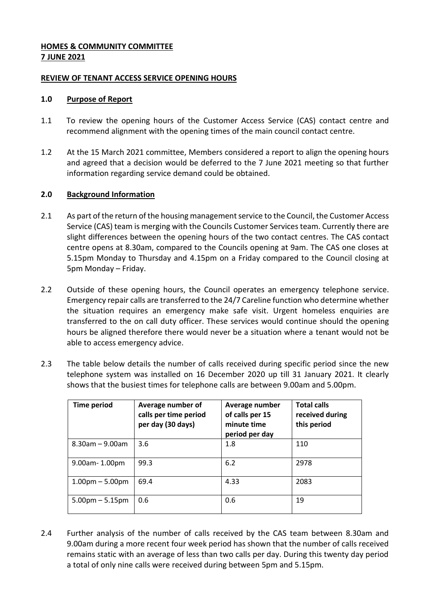# **HOMES & COMMUNITY COMMITTEE 7 JUNE 2021**

### **REVIEW OF TENANT ACCESS SERVICE OPENING HOURS**

### **1.0 Purpose of Report**

- 1.1 To review the opening hours of the Customer Access Service (CAS) contact centre and recommend alignment with the opening times of the main council contact centre.
- 1.2 At the 15 March 2021 committee, Members considered a report to align the opening hours and agreed that a decision would be deferred to the 7 June 2021 meeting so that further information regarding service demand could be obtained.

# **2.0 Background Information**

- 2.1 As part of the return of the housing management service to the Council, the Customer Access Service (CAS) team is merging with the Councils Customer Services team. Currently there are slight differences between the opening hours of the two contact centres. The CAS contact centre opens at 8.30am, compared to the Councils opening at 9am. The CAS one closes at 5.15pm Monday to Thursday and 4.15pm on a Friday compared to the Council closing at 5pm Monday – Friday.
- 2.2 Outside of these opening hours, the Council operates an emergency telephone service. Emergency repair calls are transferred to the 24/7 Careline function who determine whether the situation requires an emergency make safe visit. Urgent homeless enquiries are transferred to the on call duty officer. These services would continue should the opening hours be aligned therefore there would never be a situation where a tenant would not be able to access emergency advice.
- 2.3 The table below details the number of calls received during specific period since the new telephone system was installed on 16 December 2020 up till 31 January 2021. It clearly shows that the busiest times for telephone calls are between 9.00am and 5.00pm.

| <b>Time period</b>   | Average number of<br>calls per time period<br>per day (30 days) | Average number<br>of calls per 15<br>minute time<br>period per day | <b>Total calls</b><br>received during<br>this period |
|----------------------|-----------------------------------------------------------------|--------------------------------------------------------------------|------------------------------------------------------|
| $8.30$ am – 9.00am   | 3.6                                                             | 1.8                                                                | 110                                                  |
| 9.00am-1.00pm        | 99.3                                                            | 6.2                                                                | 2978                                                 |
| $1.00pm - 5.00pm$    | 69.4                                                            | 4.33                                                               | 2083                                                 |
| $5.00$ pm $-5.15$ pm | 0.6                                                             | 0.6                                                                | 19                                                   |

2.4 Further analysis of the number of calls received by the CAS team between 8.30am and 9.00am during a more recent four week period has shown that the number of calls received remains static with an average of less than two calls per day. During this twenty day period a total of only nine calls were received during between 5pm and 5.15pm.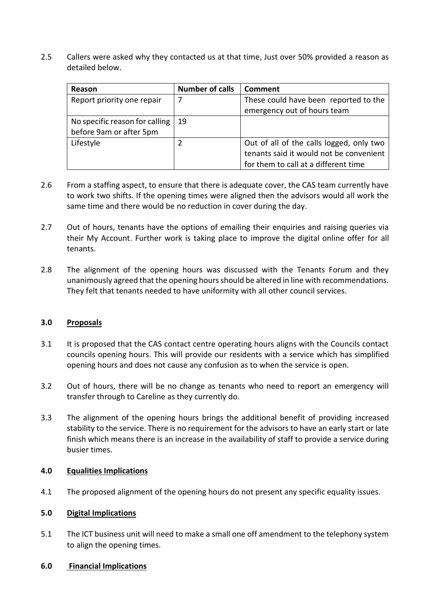2.5 Callers were asked why they contacted us at that time, Just over 50% provided a reason as detailed below.

| Reason                         | <b>Number of calls</b> | <b>Comment</b>                           |
|--------------------------------|------------------------|------------------------------------------|
| Report priority one repair     |                        | These could have been reported to the    |
|                                |                        | emergency out of hours team              |
| No specific reason for calling | -19                    |                                          |
| before 9am or after 5pm        |                        |                                          |
| Lifestyle                      |                        | Out of all of the calls logged, only two |
|                                |                        | tenants said it would not be convenient  |
|                                |                        | for them to call at a different time     |

- 2.6 From a staffing aspect, to ensure that there is adequate cover, the CAS team currently have to work two shifts. If the opening times were aligned then the advisors would all work the same time and there would be no reduction in cover during the day.
- 2.7 Out of hours, tenants have the options of emailing their enquiries and raising queries via their My Account. Further work is taking place to improve the digital online offer for all tenants.
- 2.8 The alignment of the opening hours was discussed with the Tenants Forum and they unanimously agreed that the opening hours should be altered in line with recommendations. They felt that tenants needed to have uniformity with all other council services.

#### **3.0 Proposals**

- 3.1 It is proposed that the CAS contact centre operating hours aligns with the Councils contact councils opening hours. This will provide our residents with a service which has simplified opening hours and does not cause any confusion as to when the service is open.
- 3.2 Out of hours, there will be no change as tenants who need to report an emergency will transfer through to Careline as they currently do.
- 3.3 The alignment of the opening hours brings the additional benefit of providing increased stability to the service. There is no requirement for the advisors to have an early start or late finish which means there is an increase in the availability of staff to provide a service during busier times.

#### **4.0 Equalities Implications**

4.1 The proposed alignment of the opening hours do not present any specific equality issues.

#### **5.0 Digital Implications**

5.1 The ICT business unit will need to make a small one off amendment to the telephony system to align the opening times.

## **6.0 Financial Implications**